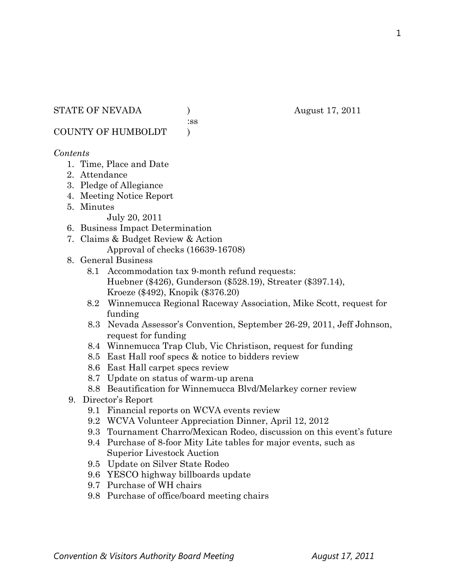1

### STATE OF NEVADA (a) and a set of  $\alpha$  and  $\alpha$  and  $\alpha$  and  $\alpha$  and  $\alpha$  and  $\alpha$  and  $\alpha$  and  $\alpha$  and  $\alpha$  and  $\alpha$  and  $\alpha$  and  $\alpha$  and  $\alpha$  and  $\alpha$  and  $\alpha$  and  $\alpha$  and  $\alpha$  and  $\alpha$  and  $\alpha$  and  $\alpha$  and  $\alpha$  and

:ss

COUNTY OF HUMBOLDT )

## *Contents*

- 1. Time, Place and Date
- 2. Attendance
- 3. Pledge of Allegiance
- 4. Meeting Notice Report
- 5. Minutes

July 20, 2011

- 6. Business Impact Determination
- 7. Claims & Budget Review & Action Approval of checks (16639-16708)
- 8. General Business
	- 8.1 Accommodation tax 9-month refund requests: Huebner (\$426), Gunderson (\$528.19), Streater (\$397.14), Kroeze (\$492), Knopik (\$376.20)
	- 8.2 Winnemucca Regional Raceway Association, Mike Scott, request for funding
	- 8.3 Nevada Assessor's Convention, September 26-29, 2011, Jeff Johnson, request for funding
	- 8.4 Winnemucca Trap Club, Vic Christison, request for funding
	- 8.5 East Hall roof specs & notice to bidders review
	- 8.6 East Hall carpet specs review
	- 8.7 Update on status of warm-up arena
	- 8.8 Beautification for Winnemucca Blvd/Melarkey corner review
- 9. Director's Report
	- 9.1 Financial reports on WCVA events review
	- 9.2 WCVA Volunteer Appreciation Dinner, April 12, 2012
	- 9.3 Tournament Charro/Mexican Rodeo, discussion on this event's future
	- 9.4 Purchase of 8-foor Mity Lite tables for major events, such as Superior Livestock Auction
	- 9.5 Update on Silver State Rodeo
	- 9.6 YESCO highway billboards update
	- 9.7 Purchase of WH chairs
	- 9.8 Purchase of office/board meeting chairs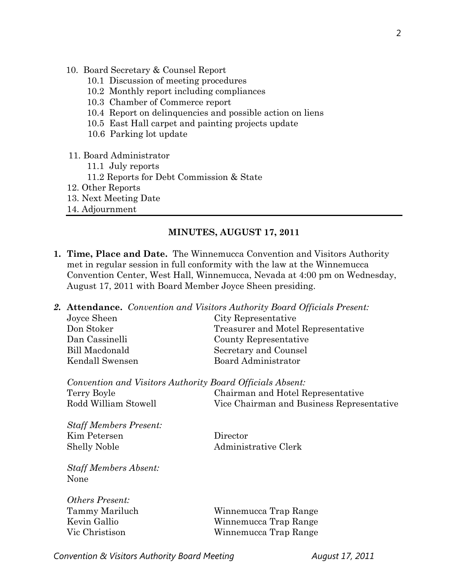- 10. Board Secretary & Counsel Report
	- 10.1 Discussion of meeting procedures
	- 10.2 Monthly report including compliances
	- 10.3 Chamber of Commerce report
	- 10.4 Report on delinquencies and possible action on liens
	- 10.5 East Hall carpet and painting projects update
	- 10.6 Parking lot update
- 11. Board Administrator
	- 11.1 July reports
	- 11.2 Reports for Debt Commission & State
- 12. Other Reports
- 13. Next Meeting Date
- 14. Adjournment

#### **MINUTES, AUGUST 17, 2011**

- **1. Time, Place and Date.** The Winnemucca Convention and Visitors Authority met in regular session in full conformity with the law at the Winnemucca Convention Center, West Hall, Winnemucca, Nevada at 4:00 pm on Wednesday, August 17, 2011 with Board Member Joyce Sheen presiding.
- *2.* **Attendance.** *Convention and Visitors Authority Board Officials Present:*

| Joyce Sheen     | City Representative                |  |
|-----------------|------------------------------------|--|
| Don Stoker      | Treasurer and Motel Representative |  |
| Dan Cassinelli  | County Representative              |  |
| Bill Macdonald  | Secretary and Counsel              |  |
| Kendall Swensen | Board Administrator                |  |
|                 |                                    |  |

*Convention and Visitors Authority Board Officials Absent:*  Terry Boyle Chairman and Hotel Representative Rodd William Stowell Vice Chairman and Business Representative

*Staff Members Present:*  Kim Petersen Director Shelly Noble Administrative Clerk

*Staff Members Absent:*  None

*Others Present:* 

Tammy Mariluch Winnemucca Trap Range Kevin Gallio Winnemucca Trap Range Vic Christison Winnemucca Trap Range

*Convention & Visitors Authority Board Meeting August 17, 2011*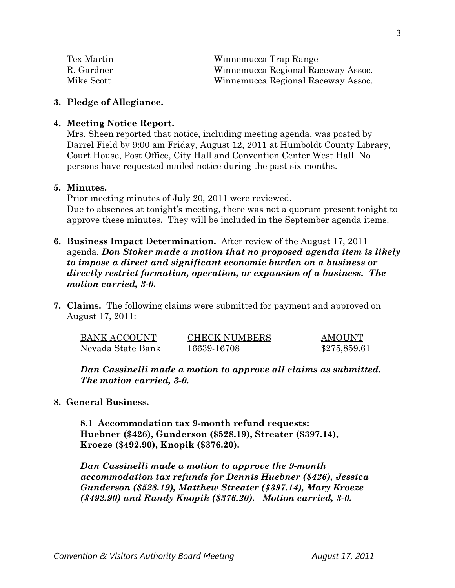| Tex Martin | Winnemucca Trap Range              |
|------------|------------------------------------|
| R. Gardner | Winnemucca Regional Raceway Assoc. |
| Mike Scott | Winnemucca Regional Raceway Assoc. |

#### **3. Pledge of Allegiance.**

#### **4. Meeting Notice Report.**

Mrs. Sheen reported that notice, including meeting agenda, was posted by Darrel Field by 9:00 am Friday, August 12, 2011 at Humboldt County Library, Court House, Post Office, City Hall and Convention Center West Hall. No persons have requested mailed notice during the past six months.

#### **5. Minutes.**

Prior meeting minutes of July 20, 2011 were reviewed. Due to absences at tonight's meeting, there was not a quorum present tonight to approve these minutes. They will be included in the September agenda items.

- **6. Business Impact Determination.** After review of the August 17, 2011 agenda, *Don Stoker made a motion that no proposed agenda item is likely to impose a direct and significant economic burden on a business or directly restrict formation, operation, or expansion of a business. The motion carried, 3-0.*
- **7. Claims.** The following claims were submitted for payment and approved on August 17, 2011:

| <b>BANK ACCOUNT</b> | <b>CHECK NUMBERS</b> | <b>AMOUNT</b> |
|---------------------|----------------------|---------------|
| Nevada State Bank   | 16639-16708          | \$275,859.61  |

*Dan Cassinelli made a motion to approve all claims as submitted. The motion carried, 3-0.* 

### **8. General Business.**

 **8.1 Accommodation tax 9-month refund requests: Huebner (\$426), Gunderson (\$528.19), Streater (\$397.14), Kroeze (\$492.90), Knopik (\$376.20).** 

 *Dan Cassinelli made a motion to approve the 9-month accommodation tax refunds for Dennis Huebner (\$426), Jessica Gunderson (\$528.19), Matthew Streater (\$397.14), Mary Kroeze (\$492.90) and Randy Knopik (\$376.20). Motion carried, 3-0.*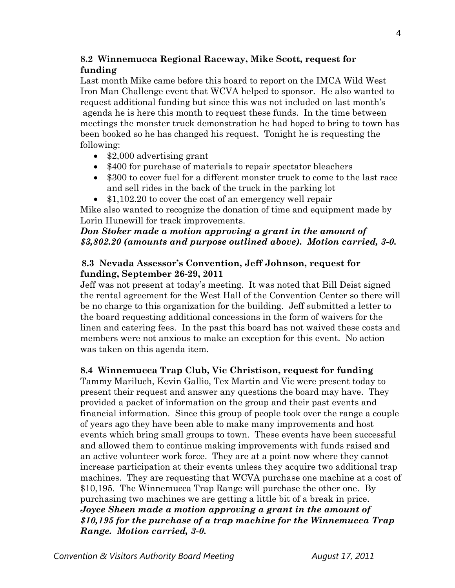# **8.2 Winnemucca Regional Raceway, Mike Scott, request for funding**

Last month Mike came before this board to report on the IMCA Wild West Iron Man Challenge event that WCVA helped to sponsor. He also wanted to request additional funding but since this was not included on last month's agenda he is here this month to request these funds. In the time between meetings the monster truck demonstration he had hoped to bring to town has been booked so he has changed his request. Tonight he is requesting the following:

- \$2,000 advertising grant
- \$400 for purchase of materials to repair spectator bleachers
- \$300 to cover fuel for a different monster truck to come to the last race and sell rides in the back of the truck in the parking lot
- \$1,102.20 to cover the cost of an emergency well repair

Mike also wanted to recognize the donation of time and equipment made by Lorin Hunewill for track improvements.

# *Don Stoker made a motion approving a grant in the amount of \$3,802.20 (amounts and purpose outlined above). Motion carried, 3-0.*

### **8.3 Nevada Assessor's Convention, Jeff Johnson, request for funding, September 26-29, 2011**

Jeff was not present at today's meeting. It was noted that Bill Deist signed the rental agreement for the West Hall of the Convention Center so there will be no charge to this organization for the building. Jeff submitted a letter to the board requesting additional concessions in the form of waivers for the linen and catering fees. In the past this board has not waived these costs and members were not anxious to make an exception for this event. No action was taken on this agenda item.

### **8.4 Winnemucca Trap Club, Vic Christison, request for funding**

Tammy Mariluch, Kevin Gallio, Tex Martin and Vic were present today to present their request and answer any questions the board may have. They provided a packet of information on the group and their past events and financial information. Since this group of people took over the range a couple of years ago they have been able to make many improvements and host events which bring small groups to town. These events have been successful and allowed them to continue making improvements with funds raised and an active volunteer work force. They are at a point now where they cannot increase participation at their events unless they acquire two additional trap machines. They are requesting that WCVA purchase one machine at a cost of \$10,195. The Winnemucca Trap Range will purchase the other one. By purchasing two machines we are getting a little bit of a break in price. *Joyce Sheen made a motion approving a grant in the amount of \$10,195 for the purchase of a trap machine for the Winnemucca Trap Range. Motion carried, 3-0.*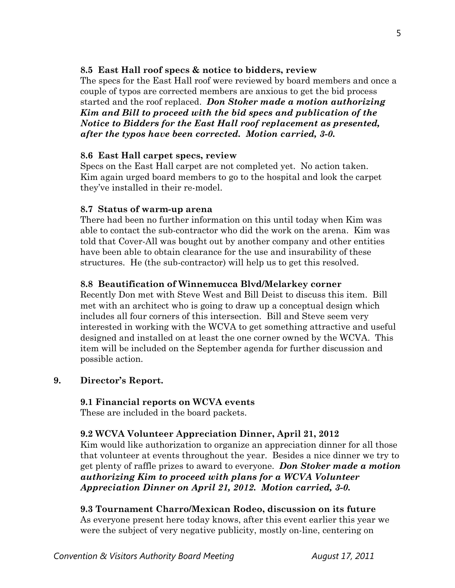### **8.5 East Hall roof specs & notice to bidders, review**

The specs for the East Hall roof were reviewed by board members and once a couple of typos are corrected members are anxious to get the bid process started and the roof replaced. *Don Stoker made a motion authorizing Kim and Bill to proceed with the bid specs and publication of the Notice to Bidders for the East Hall roof replacement as presented, after the typos have been corrected. Motion carried, 3-0.* 

## **8.6 East Hall carpet specs, review**

Specs on the East Hall carpet are not completed yet. No action taken. Kim again urged board members to go to the hospital and look the carpet they've installed in their re-model.

## **8.7 Status of warm-up arena**

There had been no further information on this until today when Kim was able to contact the sub-contractor who did the work on the arena. Kim was told that Cover-All was bought out by another company and other entities have been able to obtain clearance for the use and insurability of these structures. He (the sub-contractor) will help us to get this resolved.

## **8.8 Beautification of Winnemucca Blvd/Melarkey corner**

Recently Don met with Steve West and Bill Deist to discuss this item. Bill met with an architect who is going to draw up a conceptual design which includes all four corners of this intersection. Bill and Steve seem very interested in working with the WCVA to get something attractive and useful designed and installed on at least the one corner owned by the WCVA. This item will be included on the September agenda for further discussion and possible action.

# **9. Director's Report.**

# **9.1 Financial reports on WCVA events**

These are included in the board packets.

# **9.2 WCVA Volunteer Appreciation Dinner, April 21, 2012**

Kim would like authorization to organize an appreciation dinner for all those that volunteer at events throughout the year. Besides a nice dinner we try to get plenty of raffle prizes to award to everyone. *Don Stoker made a motion authorizing Kim to proceed with plans for a WCVA Volunteer Appreciation Dinner on April 21, 2012. Motion carried, 3-0.* 

### **9.3 Tournament Charro/Mexican Rodeo, discussion on its future**

As everyone present here today knows, after this event earlier this year we were the subject of very negative publicity, mostly on-line, centering on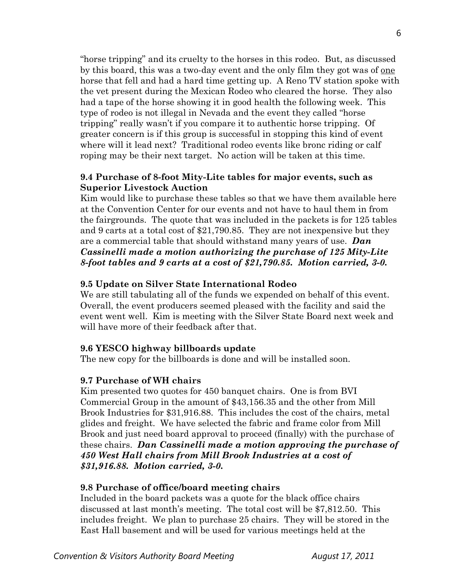"horse tripping" and its cruelty to the horses in this rodeo. But, as discussed by this board, this was a two-day event and the only film they got was of one horse that fell and had a hard time getting up. A Reno TV station spoke with the vet present during the Mexican Rodeo who cleared the horse. They also had a tape of the horse showing it in good health the following week. This type of rodeo is not illegal in Nevada and the event they called "horse tripping" really wasn't if you compare it to authentic horse tripping. Of greater concern is if this group is successful in stopping this kind of event where will it lead next? Traditional rodeo events like bronc riding or calf roping may be their next target. No action will be taken at this time.

### **9.4 Purchase of 8-foot Mity-Lite tables for major events, such as Superior Livestock Auction**

Kim would like to purchase these tables so that we have them available here at the Convention Center for our events and not have to haul them in from the fairgrounds. The quote that was included in the packets is for 125 tables and 9 carts at a total cost of \$21,790.85. They are not inexpensive but they are a commercial table that should withstand many years of use. *Dan Cassinelli made a motion authorizing the purchase of 125 Mity-Lite 8-foot tables and 9 carts at a cost of \$21,790.85. Motion carried, 3-0.*

## **9.5 Update on Silver State International Rodeo**

We are still tabulating all of the funds we expended on behalf of this event. Overall, the event producers seemed pleased with the facility and said the event went well. Kim is meeting with the Silver State Board next week and will have more of their feedback after that.

### **9.6 YESCO highway billboards update**

The new copy for the billboards is done and will be installed soon.

### **9.7 Purchase of WH chairs**

Kim presented two quotes for 450 banquet chairs. One is from BVI Commercial Group in the amount of \$43,156.35 and the other from Mill Brook Industries for \$31,916.88. This includes the cost of the chairs, metal glides and freight. We have selected the fabric and frame color from Mill Brook and just need board approval to proceed (finally) with the purchase of these chairs. *Dan Cassinelli made a motion approving the purchase of 450 West Hall chairs from Mill Brook Industries at a cost of \$31,916.88. Motion carried, 3-0.* 

### **9.8 Purchase of office/board meeting chairs**

Included in the board packets was a quote for the black office chairs discussed at last month's meeting. The total cost will be \$7,812.50. This includes freight. We plan to purchase 25 chairs. They will be stored in the East Hall basement and will be used for various meetings held at the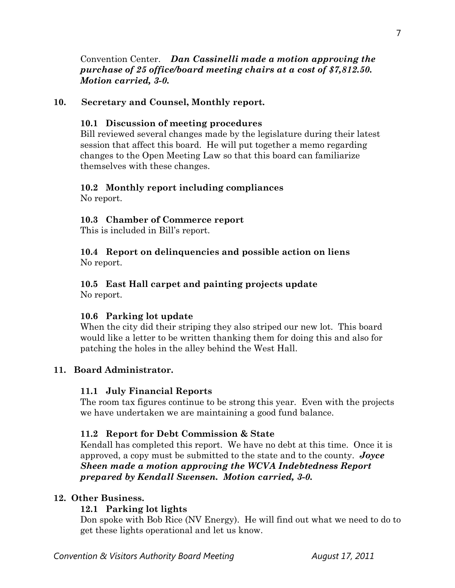Convention Center. *Dan Cassinelli made a motion approving the purchase of 25 office/board meeting chairs at a cost of \$7,812.50. Motion carried, 3-0.* 

### **10. Secretary and Counsel, Monthly report.**

### **10.1 Discussion of meeting procedures**

Bill reviewed several changes made by the legislature during their latest session that affect this board. He will put together a memo regarding changes to the Open Meeting Law so that this board can familiarize themselves with these changes.

# **10.2 Monthly report including compliances**

No report.

## **10.3 Chamber of Commerce report**

This is included in Bill's report.

**10.4 Report on delinquencies and possible action on liens** No report.

#### **10.5 East Hall carpet and painting projects update**  No report.

# **10.6 Parking lot update**

When the city did their striping they also striped our new lot. This board would like a letter to be written thanking them for doing this and also for patching the holes in the alley behind the West Hall.

# **11. Board Administrator.**

### **11.1 July Financial Reports**

The room tax figures continue to be strong this year. Even with the projects we have undertaken we are maintaining a good fund balance.

### **11.2 Report for Debt Commission & State**

Kendall has completed this report. We have no debt at this time. Once it is approved, a copy must be submitted to the state and to the county. *Joyce Sheen made a motion approving the WCVA Indebtedness Report prepared by Kendall Swensen. Motion carried, 3-0.* 

### **12. Other Business.**

# **12.1 Parking lot lights**

Don spoke with Bob Rice (NV Energy). He will find out what we need to do to get these lights operational and let us know.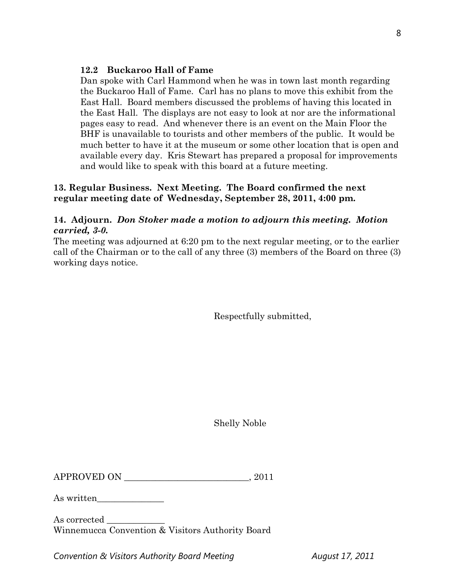### **12.2 Buckaroo Hall of Fame**

Dan spoke with Carl Hammond when he was in town last month regarding the Buckaroo Hall of Fame. Carl has no plans to move this exhibit from the East Hall. Board members discussed the problems of having this located in the East Hall. The displays are not easy to look at nor are the informational pages easy to read. And whenever there is an event on the Main Floor the BHF is unavailable to tourists and other members of the public. It would be much better to have it at the museum or some other location that is open and available every day. Kris Stewart has prepared a proposal for improvements and would like to speak with this board at a future meeting.

### **13. Regular Business. Next Meeting. The Board confirmed the next regular meeting date of Wednesday, September 28, 2011, 4:00 pm.**

## **14. Adjourn.** *Don Stoker made a motion to adjourn this meeting. Motion carried, 3-0.*

The meeting was adjourned at 6:20 pm to the next regular meeting, or to the earlier call of the Chairman or to the call of any three (3) members of the Board on three (3) working days notice.

Respectfully submitted,

Shelly Noble

As written\_\_\_\_\_\_\_\_\_\_\_\_\_\_\_

As corrected Winnemucca Convention & Visitors Authority Board

Convention & Visitors Authority Board Meeting **August 17, 2011**